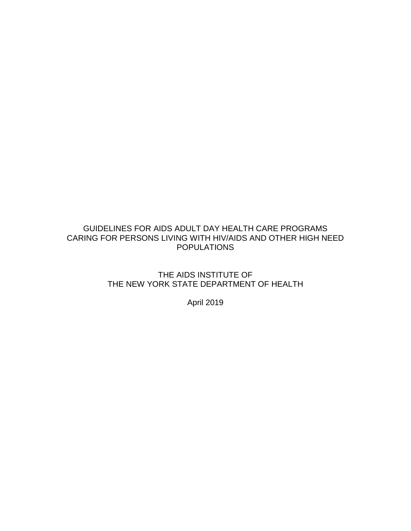# GUIDELINES FOR AIDS ADULT DAY HEALTH CARE PROGRAMS CARING FOR PERSONS LIVING WITH HIV/AIDS AND OTHER HIGH NEED POPULATIONS

THE AIDS INSTITUTE OF THE NEW YORK STATE DEPARTMENT OF HEALTH

April 2019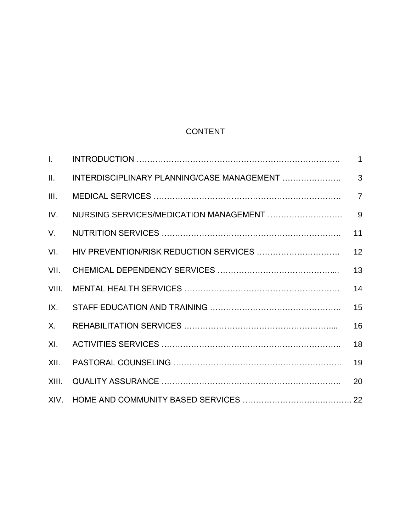# CONTENT

| $\mathbf{L}$ |                                            | $\mathbf{1}$   |
|--------------|--------------------------------------------|----------------|
| II.          | INTERDISCIPLINARY PLANNING/CASE MANAGEMENT | 3              |
| III.         |                                            | $\overline{7}$ |
| IV.          | NURSING SERVICES/MEDICATION MANAGEMENT     | 9              |
| $V_{\cdot}$  |                                            | 11             |
| VI.          |                                            | 12             |
| VII.         |                                            | 13             |
| VIII.        |                                            | 14             |
| IX.          |                                            | 15             |
| $X_{-}$      |                                            | 16             |
| XI.          |                                            | 18             |
| XII.         |                                            | 19             |
| XIII.        |                                            | 20             |
|              |                                            |                |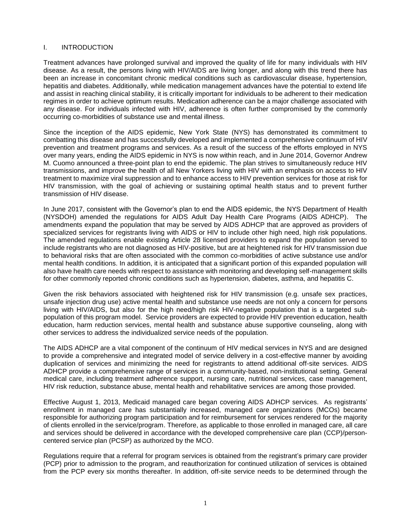#### I. INTRODUCTION

Treatment advances have prolonged survival and improved the quality of life for many individuals with HIV disease. As a result, the persons living with HIV/AIDS are living longer, and along with this trend there has been an increase in concomitant chronic medical conditions such as cardiovascular disease, hypertension, hepatitis and diabetes. Additionally, while medication management advances have the potential to extend life and assist in reaching clinical stability, it is critically important for individuals to be adherent to their medication regimes in order to achieve optimum results. Medication adherence can be a major challenge associated with any disease. For individuals infected with HIV, adherence is often further compromised by the commonly occurring co-morbidities of substance use and mental illness.

Since the inception of the AIDS epidemic, New York State (NYS) has demonstrated its commitment to combatting this disease and has successfully developed and implemented a comprehensive continuum of HIV prevention and treatment programs and services. As a result of the success of the efforts employed in NYS over many years, ending the AIDS epidemic in NYS is now within reach, and in June 2014, Governor Andrew M. Cuomo announced a three-point plan to end the epidemic. The plan strives to simultaneously reduce HIV transmissions, and improve the health of all New Yorkers living with HIV with an emphasis on access to HIV treatment to maximize viral suppression and to enhance access to HIV prevention services for those at risk for HIV transmission, with the goal of achieving or sustaining optimal health status and to prevent further transmission of HIV disease.

In June 2017, consistent with the Governor's plan to end the AIDS epidemic, the NYS Department of Health (NYSDOH) amended the regulations for AIDS Adult Day Health Care Programs (AIDS ADHCP). The amendments expand the population that may be served by AIDS ADHCP that are approved as providers of specialized services for registrants living with AIDS or HIV to include other high need, high risk populations. The amended regulations enable existing Article 28 licensed providers to expand the population served to include registrants who are not diagnosed as HIV-positive, but are at heightened risk for HIV transmission due to behavioral risks that are often associated with the common co-morbidities of active substance use and/or mental health conditions. In addition, it is anticipated that a significant portion of this expanded population will also have health care needs with respect to assistance with monitoring and developing self-management skills for other commonly reported chronic conditions such as hypertension, diabetes, asthma, and hepatitis C.

Given the risk behaviors associated with heightened risk for HIV transmission (e.g. unsafe sex practices, unsafe injection drug use) active mental health and substance use needs are not only a concern for persons living with HIV/AIDS, but also for the high need/high risk HIV-negative population that is a targeted subpopulation of this program model. Service providers are expected to provide HIV prevention education, health education, harm reduction services, mental health and substance abuse supportive counseling, along with other services to address the individualized service needs of the population.

The AIDS ADHCP are a vital component of the continuum of HIV medical services in NYS and are designed to provide a comprehensive and integrated model of service delivery in a cost-effective manner by avoiding duplication of services and minimizing the need for registrants to attend additional off-site services. AIDS ADHCP provide a comprehensive range of services in a community-based, non-institutional setting. General medical care, including treatment adherence support, nursing care, nutritional services, case management, HIV risk reduction, substance abuse, mental health and rehabilitative services are among those provided.

Effective August 1, 2013, Medicaid managed care began covering AIDS ADHCP services. As registrants' enrollment in managed care has substantially increased, managed care organizations (MCOs) became responsible for authorizing program participation and for reimbursement for services rendered for the majority of clients enrolled in the service/program. Therefore, as applicable to those enrolled in managed care, all care and services should be delivered in accordance with the developed comprehensive care plan (CCP)/personcentered service plan (PCSP) as authorized by the MCO.

Regulations require that a referral for program services is obtained from the registrant's primary care provider (PCP) prior to admission to the program, and reauthorization for continued utilization of services is obtained from the PCP every six months thereafter. In addition, off-site service needs to be determined through the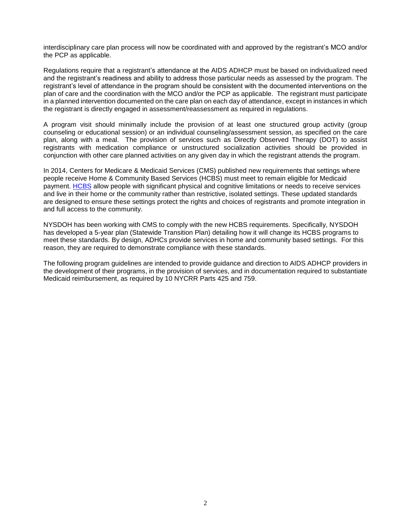interdisciplinary care plan process will now be coordinated with and approved by the registrant's MCO and/or the PCP as applicable.

Regulations require that a registrant's attendance at the AIDS ADHCP must be based on individualized need and the registrant's readiness and ability to address those particular needs as assessed by the program. The registrant's level of attendance in the program should be consistent with the documented interventions on the plan of care and the coordination with the MCO and/or the PCP as applicable. The registrant must participate in a planned intervention documented on the care plan on each day of attendance, except in instances in which the registrant is directly engaged in assessment/reassessment as required in regulations.

A program visit should minimally include the provision of at least one structured group activity (group counseling or educational session) or an individual counseling/assessment session, as specified on the care plan, along with a meal. The provision of services such as Directly Observed Therapy (DOT) to assist registrants with medication compliance or unstructured socialization activities should be provided in conjunction with other care planned activities on any given day in which the registrant attends the program.

In 2014, Centers for Medicare & Medicaid Services (CMS) published new requirements that settings where people receive Home & Community Based Services (HCBS) must meet to remain eligible for Medicaid payment. [HCBS](http://www.medicaid.gov/medicaid/hcbs/index.html) allow people with significant physical and cognitive limitations or needs to receive services and live in their home or the community rather than restrictive, isolated settings. These updated standards are designed to ensure these settings protect the rights and choices of registrants and promote integration in and full access to the community.

NYSDOH has been working with CMS to comply with the new HCBS requirements. Specifically, NYSDOH has developed a 5-year plan (Statewide Transition Plan) detailing how it will change its HCBS programs to meet these standards. By design, ADHCs provide services in home and community based settings. For this reason, they are required to demonstrate compliance with these standards.

The following program guidelines are intended to provide guidance and direction to AIDS ADHCP providers in the development of their programs, in the provision of services, and in documentation required to substantiate Medicaid reimbursement, as required by 10 NYCRR Parts 425 and 759.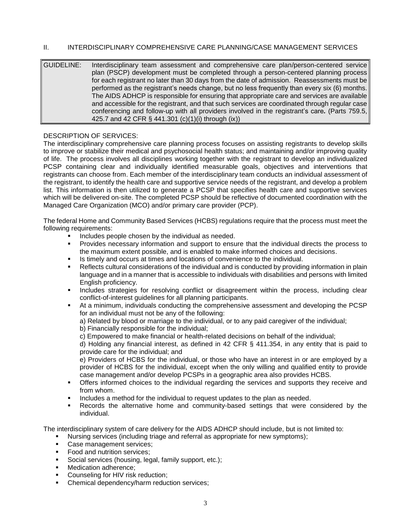# II. INTERDISCIPLINARY COMPREHENSIVE CARE PLANNING/CASE MANAGEMENT SERVICES

GUIDELINE: Interdisciplinary team assessment and comprehensive care plan/person-centered service plan (PSCP) development must be completed through a person-centered planning process for each registrant no later than 30 days from the date of admission. Reassessments must be performed as the registrant's needs change, but no less frequently than every six (6) months. The AIDS ADHCP is responsible for ensuring that appropriate care and services are available and accessible for the registrant, and that such services are coordinated through regular case conferencing and follow-up with all providers involved in the registrant's care*.* (Parts 759.5, 425.7 and 42 CFR § 441.301 (c)(1)(i) through (ix))

# DESCRIPTION OF SERVICES:

The interdisciplinary comprehensive care planning process focuses on assisting registrants to develop skills to improve or stabilize their medical and psychosocial health status; and maintaining and/or improving quality of life. The process involves all disciplines working together with the registrant to develop an individualized PCSP containing clear and individually identified measurable goals, objectives and interventions that registrants can choose from. Each member of the interdisciplinary team conducts an individual assessment of the registrant, to identify the health care and supportive service needs of the registrant, and develop a problem list. This information is then utilized to generate a PCSP that specifies health care and supportive services which will be delivered on-site. The completed PCSP should be reflective of documented coordination with the Managed Care Organization (MCO) and/or primary care provider (PCP).

The federal Home and Community Based Services (HCBS) regulations require that the process must meet the following requirements:

- Includes people chosen by the individual as needed.
- Provides necessary information and support to ensure that the individual directs the process to the maximum extent possible, and is enabled to make informed choices and decisions.
- Is timely and occurs at times and locations of convenience to the individual.
- Reflects cultural considerations of the individual and is conducted by providing information in plain language and in a manner that is accessible to individuals with disabilities and persons with limited English proficiency.
- Includes strategies for resolving conflict or disagreement within the process, including clear conflict-of-interest guidelines for all planning participants.
- At a minimum, individuals conducting the comprehensive assessment and developing the PCSP for an individual must not be any of the following:
	- a) Related by blood or marriage to the individual, or to any paid caregiver of the individual;
	- b) Financially responsible for the individual;
	- c) Empowered to make financial or health-related decisions on behalf of the individual;

d) Holding any financial interest, as defined in 42 CFR § 411.354, in any entity that is paid to provide care for the individual; and

e) Providers of HCBS for the individual, or those who have an interest in or are employed by a provider of HCBS for the individual, except when the only willing and qualified entity to provide case management and/or develop PCSPs in a geographic area also provides HCBS.

- Offers informed choices to the individual regarding the services and supports they receive and from whom.
- Includes a method for the individual to request updates to the plan as needed.
- Records the alternative home and community-based settings that were considered by the individual.

The interdisciplinary system of care delivery for the AIDS ADHCP should include, but is not limited to:

- Nursing services (including triage and referral as appropriate for new symptoms);
- Case management services:
- Food and nutrition services;
- Social services (housing, legal, family support, etc.);
- Medication adherence:
- Counseling for HIV risk reduction;
- Chemical dependency/harm reduction services;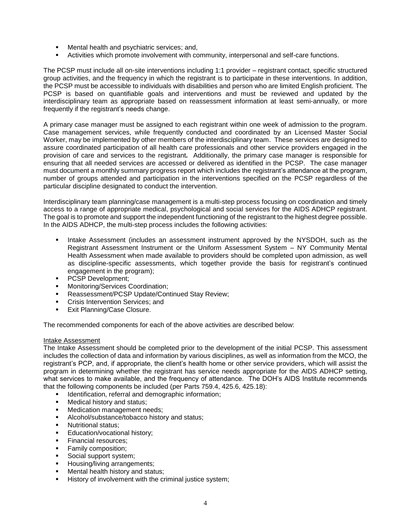- Mental health and psychiatric services; and,
- Activities which promote involvement with community, interpersonal and self-care functions.

The PCSP must include all on-site interventions including 1:1 provider – registrant contact, specific structured group activities, and the frequency in which the registrant is to participate in these interventions. In addition, the PCSP must be accessible to individuals with disabilities and person who are limited English proficient. The PCSP is based on quantifiable goals and interventions and must be reviewed and updated by the interdisciplinary team as appropriate based on reassessment information at least semi-annually, or more frequently if the registrant's needs change.

A primary case manager must be assigned to each registrant within one week of admission to the program. Case management services, while frequently conducted and coordinated by an Licensed Master Social Worker, may be implemented by other members of the interdisciplinary team. These services are designed to assure coordinated participation of all health care professionals and other service providers engaged in the provision of care and services to the registrant*.* Additionally, the primary case manager is responsible for ensuring that all needed services are accessed or delivered as identified in the PCSP. The case manager must document a monthly summary progress report which includes the registrant's attendance at the program, number of groups attended and participation in the interventions specified on the PCSP regardless of the particular discipline designated to conduct the intervention.

Interdisciplinary team planning/case management is a multi-step process focusing on coordination and timely access to a range of appropriate medical, psychological and social services for the AIDS ADHCP registrant. The goal is to promote and support the independent functioning of the registrant to the highest degree possible. In the AIDS ADHCP, the multi-step process includes the following activities:

- Intake Assessment (includes an assessment instrument approved by the NYSDOH, such as the Registrant Assessment Instrument or the Uniform Assessment System – NY Community Mental Health Assessment when made available to providers should be completed upon admission, as well as discipline-specific assessments, which together provide the basis for registrant's continued engagement in the program);
- PCSP Development;
- Monitoring/Services Coordination;
- Reassessment/PCSP Update/Continued Stay Review;
- Crisis Intervention Services; and
- Exit Planning/Case Closure.

The recommended components for each of the above activities are described below:

#### Intake Assessment

The Intake Assessment should be completed prior to the development of the initial PCSP. This assessment includes the collection of data and information by various disciplines, as well as information from the MCO, the registrant's PCP, and, if appropriate, the client's health home or other service providers, which will assist the program in determining whether the registrant has service needs appropriate for the AIDS ADHCP setting, what services to make available, and the frequency of attendance. The DOH's AIDS Institute recommends that the following components be included (per Parts 759.4, 425.6, 425.18):

- **■** Identification, referral and demographic information;
- Medical history and status;
- Medication management needs;
- Alcohol/substance/tobacco history and status;
- Nutritional status:
- Education/vocational history;
- **•** Financial resources:
- Family composition;
- Social support system;
- Housing/living arrangements:
- **■** Mental health history and status;
- **EXECT** History of involvement with the criminal justice system;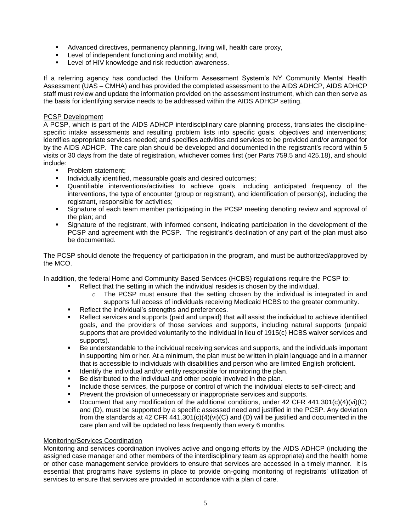- Advanced directives, permanency planning, living will, health care proxy,
- Level of independent functioning and mobility; and,
- Level of HIV knowledge and risk reduction awareness.

If a referring agency has conducted the Uniform Assessment System's NY Community Mental Health Assessment (UAS – CMHA) and has provided the completed assessment to the AIDS ADHCP, AIDS ADHCP staff must review and update the information provided on the assessment instrument, which can then serve as the basis for identifying service needs to be addressed within the AIDS ADHCP setting.

#### PCSP Development

A PCSP, which is part of the AIDS ADHCP interdisciplinary care planning process, translates the disciplinespecific intake assessments and resulting problem lists into specific goals, objectives and interventions; identifies appropriate services needed; and specifies activities and services to be provided and/or arranged for by the AIDS ADHCP. The care plan should be developed and documented in the registrant's record within 5 visits or 30 days from the date of registration, whichever comes first (per Parts 759.5 and 425.18), and should include:

- **•** Problem statement;
- **·** Individually identified, measurable goals and desired outcomes;
- Quantifiable interventions/activities to achieve goals, including anticipated frequency of the interventions, the type of encounter (group or registrant), and identification of person(s), including the registrant, responsible for activities;
- Signature of each team member participating in the PCSP meeting denoting review and approval of the plan; and
- Signature of the registrant, with informed consent, indicating participation in the development of the PCSP and agreement with the PCSP. The registrant's declination of any part of the plan must also be documented.

The PCSP should denote the frequency of participation in the program, and must be authorized/approved by the MCO.

In addition, the federal Home and Community Based Services (HCBS) regulations require the PCSP to:

- Reflect that the setting in which the individual resides is chosen by the individual.
	- $\circ$  The PCSP must ensure that the setting chosen by the individual is integrated in and supports full access of individuals receiving Medicaid HCBS to the greater community.
- Reflect the individual's strengths and preferences.
- Reflect services and supports (paid and unpaid) that will assist the individual to achieve identified goals, and the providers of those services and supports, including natural supports (unpaid supports that are provided voluntarily to the individual in lieu of 1915(c) HCBS waiver services and supports).
- Be understandable to the individual receiving services and supports, and the individuals important in supporting him or her. At a minimum, the plan must be written in plain language and in a manner that is accessible to individuals with disabilities and person who are limited English proficient.
- **■** Identify the individual and/or entity responsible for monitoring the plan.
- Be distributed to the individual and other people involved in the plan.
- Include those services, the purpose or control of which the individual elects to self-direct; and
- Prevent the provision of unnecessary or inappropriate services and supports.
- Document that any modification of the additional conditions, under 42 CFR 441.301(c)(4)(vi)(C) and (D), must be supported by a specific assessed need and justified in the PCSP. Any deviation from the standards at 42 CFR 441.301(c)(4)(vi)(C) and (D) will be justified and documented in the care plan and will be updated no less frequently than every 6 months.

#### Monitoring/Services Coordination

Monitoring and services coordination involves active and ongoing efforts by the AIDS ADHCP (including the assigned case manager and other members of the interdisciplinary team as appropriate) and the health home or other case management service providers to ensure that services are accessed in a timely manner. It is essential that programs have systems in place to provide on-going monitoring of registrants' utilization of services to ensure that services are provided in accordance with a plan of care.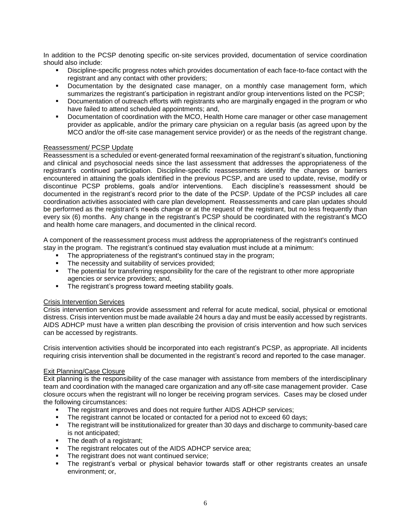In addition to the PCSP denoting specific on-site services provided, documentation of service coordination should also include:

- Discipline-specific progress notes which provides documentation of each face-to-face contact with the registrant and any contact with other providers;
- Documentation by the designated case manager, on a monthly case management form, which summarizes the registrant's participation in registrant and/or group interventions listed on the PCSP;
- Documentation of outreach efforts with registrants who are marginally engaged in the program or who have failed to attend scheduled appointments; and,
- Documentation of coordination with the MCO, Health Home care manager or other case management provider as applicable, and/or the primary care physician on a regular basis (as agreed upon by the MCO and/or the off-site case management service provider) or as the needs of the registrant change.

#### Reassessment/ PCSP Update

Reassessment is a scheduled or event-generated formal reexamination of the registrant's situation, functioning and clinical and psychosocial needs since the last assessment that addresses the appropriateness of the registrant's continued participation. Discipline-specific reassessments identify the changes or barriers encountered in attaining the goals identified in the previous PCSP, and are used to update, revise, modify or discontinue PCSP problems, goals and/or interventions. Each discipline's reassessment should be documented in the registrant's record prior to the date of the PCSP. Update of the PCSP includes all care coordination activities associated with care plan development. Reassessments and care plan updates should be performed as the registrant's needs change or at the request of the registrant, but no less frequently than every six (6) months. Any change in the registrant's PCSP should be coordinated with the registrant's MCO and health home care managers, and documented in the clinical record.

A component of the reassessment process must address the appropriateness of the registrant's continued stay in the program. The registrant's continued stay evaluation must include at a minimum:

- The appropriateness of the registrant's continued stay in the program;<br>■ The necessity and suitability of services provided:
- The necessity and suitability of services provided;
- The potential for transferring responsibility for the care of the registrant to other more appropriate agencies or service providers; and,
- The registrant's progress toward meeting stability goals.

#### Crisis Intervention Services

Crisis intervention services provide assessment and referral for acute medical, social, physical or emotional distress. Crisis intervention must be made available 24 hours a day and must be easily accessed by registrants. AIDS ADHCP must have a written plan describing the provision of crisis intervention and how such services can be accessed by registrants.

Crisis intervention activities should be incorporated into each registrant's PCSP, as appropriate. All incidents requiring crisis intervention shall be documented in the registrant's record and reported to the case manager.

#### Exit Planning/Case Closure

Exit planning is the responsibility of the case manager with assistance from members of the interdisciplinary team and coordination with the managed care organization and any off-site case management provider. Case closure occurs when the registrant will no longer be receiving program services. Cases may be closed under the following circumstances:

- The registrant improves and does not require further AIDS ADHCP services;
- The registrant cannot be located or contacted for a period not to exceed 60 days;
- **•** The registrant will be institutionalized for greater than 30 days and discharge to community-based care is not anticipated;
- **•** The death of a registrant:
- The registrant relocates out of the AIDS ADHCP service area;
- The registrant does not want continued service;
- The registrant's verbal or physical behavior towards staff or other registrants creates an unsafe environment; or,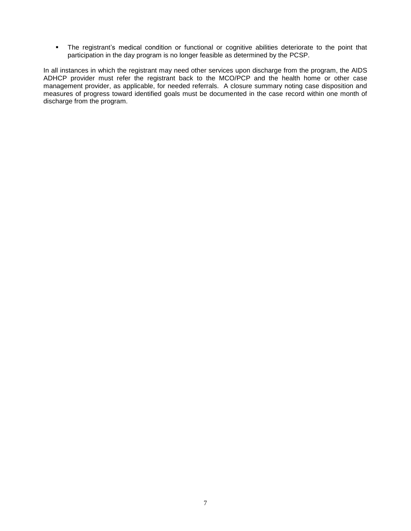▪ The registrant's medical condition or functional or cognitive abilities deteriorate to the point that participation in the day program is no longer feasible as determined by the PCSP.

In all instances in which the registrant may need other services upon discharge from the program, the AIDS ADHCP provider must refer the registrant back to the MCO/PCP and the health home or other case management provider, as applicable, for needed referrals. A closure summary noting case disposition and measures of progress toward identified goals must be documented in the case record within one month of discharge from the program.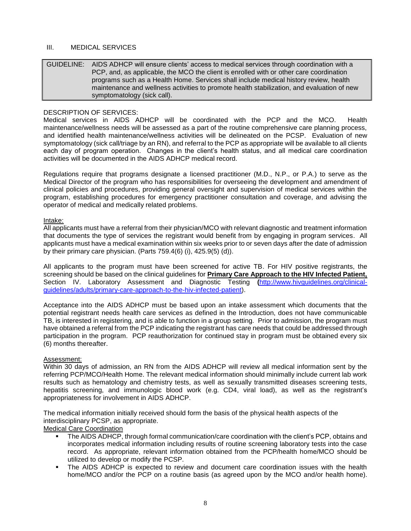# III. MEDICAL SERVICES

GUIDELINE: AIDS ADHCP will ensure clients' access to medical services through coordination with a PCP, and, as applicable, the MCO the client is enrolled with or other care coordination programs such as a Health Home. Services shall include medical history review, health maintenance and wellness activities to promote health stabilization, and evaluation of new symptomatology (sick call).

# DESCRIPTION OF SERVICES:

Medical services in AIDS ADHCP will be coordinated with the PCP and the MCO. Health maintenance/wellness needs will be assessed as a part of the routine comprehensive care planning process, and identified health maintenance/wellness activities will be delineated on the PCSP. Evaluation of new symptomatology (sick call/triage by an RN), and referral to the PCP as appropriate will be available to all clients each day of program operation. Changes in the client's health status, and all medical care coordination activities will be documented in the AIDS ADHCP medical record.

Regulations require that programs designate a licensed practitioner (M.D., N.P., or P.A.) to serve as the Medical Director of the program who has responsibilities for overseeing the development and amendment of clinical policies and procedures, providing general oversight and supervision of medical services within the program, establishing procedures for emergency practitioner consultation and coverage, and advising the operator of medical and medically related problems.

#### Intake:

All applicants must have a referral from their physician/MCO with relevant diagnostic and treatment information that documents the type of services the registrant would benefit from by engaging in program services. All applicants must have a medical examination within six weeks prior to or seven days after the date of admission by their primary care physician. (Parts 759.4(6) (i), 425.9(5) (d)).

All applicants to the program must have been screened for active TB. For HIV positive registrants, the screening should be based on the clinical guidelines for **Primary Care Approach to the HIV Infected Patient,** Section IV. Laboratory Assessment and Diagnostic Testing **(**[http://www.hivguidelines.org/clinical](http://www.hivguidelines.org/clinical-guidelines/adults/primary-care-approach-to-the-hiv-infected-patient)[guidelines/adults/primary-care-approach-to-the-hiv-infected-patient\)](http://www.hivguidelines.org/clinical-guidelines/adults/primary-care-approach-to-the-hiv-infected-patient).

Acceptance into the AIDS ADHCP must be based upon an intake assessment which documents that the potential registrant needs health care services as defined in the Introduction, does not have communicable TB, is interested in registering, and is able to function in a group setting. Prior to admission, the program must have obtained a referral from the PCP indicating the registrant has care needs that could be addressed through participation in the program. PCP reauthorization for continued stay in program must be obtained every six (6) months thereafter.

#### Assessment:

Within 30 days of admission, an RN from the AIDS ADHCP will review all medical information sent by the referring PCP/MCO/Health Home. The relevant medical information should minimally include current lab work results such as hematology and chemistry tests, as well as sexually transmitted diseases screening tests, hepatitis screening, and immunologic blood work (e.g. CD4, viral load), as well as the registrant's appropriateness for involvement in AIDS ADHCP.

The medical information initially received should form the basis of the physical health aspects of the interdisciplinary PCSP, as appropriate.

Medical Care Coordination

- The AIDS ADHCP, through formal communication/care coordination with the client's PCP, obtains and incorporates medical information including results of routine screening laboratory tests into the case record. As appropriate, relevant information obtained from the PCP/health home/MCO should be utilized to develop or modify the PCSP.
- The AIDS ADHCP is expected to review and document care coordination issues with the health home/MCO and/or the PCP on a routine basis (as agreed upon by the MCO and/or health home).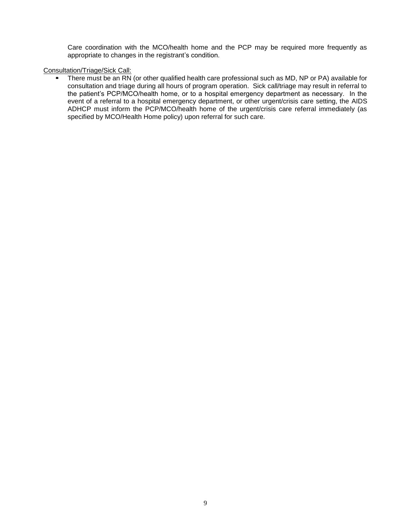Care coordination with the MCO/health home and the PCP may be required more frequently as appropriate to changes in the registrant's condition.

# Consultation/Triage/Sick Call:

There must be an RN (or other qualified health care professional such as MD, NP or PA) available for consultation and triage during all hours of program operation. Sick call/triage may result in referral to the patient's PCP/MCO/health home, or to a hospital emergency department as necessary. In the event of a referral to a hospital emergency department, or other urgent/crisis care setting, the AIDS ADHCP must inform the PCP/MCO/health home of the urgent/crisis care referral immediately (as specified by MCO/Health Home policy) upon referral for such care.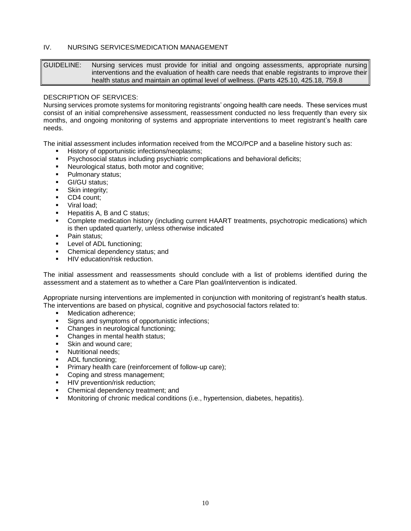# IV. NURSING SERVICES/MEDICATION MANAGEMENT

GUIDELINE: Nursing services must provide for initial and ongoing assessments, appropriate nursing interventions and the evaluation of health care needs that enable registrants to improve their health status and maintain an optimal level of wellness. (Parts 425.10, 425.18, 759.8

#### DESCRIPTION OF SERVICES:

Nursing services promote systems for monitoring registrants' ongoing health care needs. These services must consist of an initial comprehensive assessment, reassessment conducted no less frequently than every six months, and ongoing monitoring of systems and appropriate interventions to meet registrant's health care needs.

The initial assessment includes information received from the MCO/PCP and a baseline history such as:

- History of opportunistic infections/neoplasms;
- Psychosocial status including psychiatric complications and behavioral deficits;
- Neurological status, both motor and cognitive;
- **•** Pulmonary status;
- GI/GU status;
- **■** Skin integrity;
- CD4 count;
- Viral load:
- Hepatitis A, B and C status;
- **•** Complete medication history (including current HAART treatments, psychotropic medications) which is then updated quarterly, unless otherwise indicated
- Pain status:
- Level of ADL functioning;
- Chemical dependency status; and
- **E** HIV education/risk reduction.

The initial assessment and reassessments should conclude with a list of problems identified during the assessment and a statement as to whether a Care Plan goal/intervention is indicated.

Appropriate nursing interventions are implemented in conjunction with monitoring of registrant's health status. The interventions are based on physical, cognitive and psychosocial factors related to:

- Medication adherence;
- Signs and symptoms of opportunistic infections;
- Changes in neurological functioning;
- Changes in mental health status;
- Skin and wound care:
- **·** Nutritional needs:
- ADL functioning;
- Primary health care (reinforcement of follow-up care);
- Coping and stress management;
- **■** HIV prevention/risk reduction;
- Chemical dependency treatment; and
- Monitoring of chronic medical conditions (i.e., hypertension, diabetes, hepatitis).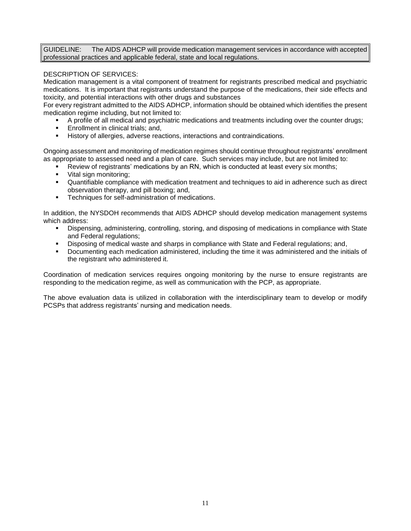GUIDELINE: The AIDS ADHCP will provide medication management services in accordance with accepted professional practices and applicable federal, state and local regulations.

# DESCRIPTION OF SERVICES:

Medication management is a vital component of treatment for registrants prescribed medical and psychiatric medications. It is important that registrants understand the purpose of the medications, their side effects and toxicity, and potential interactions with other drugs and substances

For every registrant admitted to the AIDS ADHCP, information should be obtained which identifies the present medication regime including, but not limited to:

- A profile of all medical and psychiatric medications and treatments including over the counter drugs;
- Enrollment in clinical trials; and,
- History of allergies, adverse reactions, interactions and contraindications.

Ongoing assessment and monitoring of medication regimes should continue throughout registrants' enrollment as appropriate to assessed need and a plan of care. Such services may include, but are not limited to:

- Review of registrants' medications by an RN, which is conducted at least every six months;
- Vital sign monitoring;
- Quantifiable compliance with medication treatment and techniques to aid in adherence such as direct observation therapy, and pill boxing; and,
- **•** Techniques for self-administration of medications.

In addition, the NYSDOH recommends that AIDS ADHCP should develop medication management systems which address:

- Dispensing, administering, controlling, storing, and disposing of medications in compliance with State and Federal regulations;
- Disposing of medical waste and sharps in compliance with State and Federal regulations; and,
- Documenting each medication administered, including the time it was administered and the initials of the registrant who administered it.

Coordination of medication services requires ongoing monitoring by the nurse to ensure registrants are responding to the medication regime, as well as communication with the PCP, as appropriate.

The above evaluation data is utilized in collaboration with the interdisciplinary team to develop or modify PCSPs that address registrants' nursing and medication needs.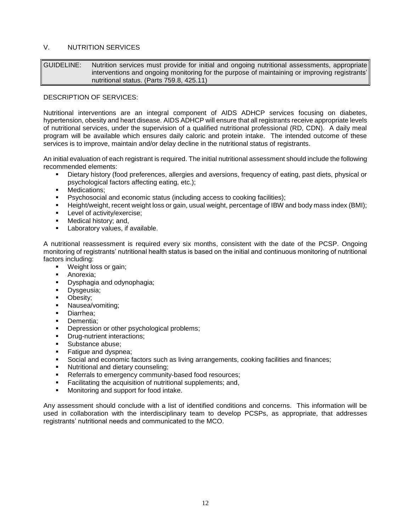# V. NUTRITION SERVICES

GUIDELINE: Nutrition services must provide for initial and ongoing nutritional assessments, appropriate interventions and ongoing monitoring for the purpose of maintaining or improving registrants' nutritional status. (Parts 759.8, 425.11)

#### DESCRIPTION OF SERVICES:

Nutritional interventions are an integral component of AIDS ADHCP services focusing on diabetes, hypertension, obesity and heart disease. AIDS ADHCP will ensure that all registrants receive appropriate levels of nutritional services, under the supervision of a qualified nutritional professional (RD, CDN). A daily meal program will be available which ensures daily caloric and protein intake. The intended outcome of these services is to improve, maintain and/or delay decline in the nutritional status of registrants.

An initial evaluation of each registrant is required. The initial nutritional assessment should include the following recommended elements:

- Dietary history (food preferences, allergies and aversions, frequency of eating, past diets, physical or psychological factors affecting eating, etc.);
- **■** Medications:
- Psychosocial and economic status (including access to cooking facilities);
- Height/weight, recent weight loss or gain, usual weight, percentage of IBW and body mass index (BMI);
- Level of activity/exercise;
- Medical history; and,
- Laboratory values, if available.

A nutritional reassessment is required every six months, consistent with the date of the PCSP. Ongoing monitoring of registrants' nutritional health status is based on the initial and continuous monitoring of nutritional factors including:

- Weight loss or gain;
- Anorexia:
- Dysphagia and odynophagia;
- Dysgeusia;
- Obesity;
- Nausea/vomiting;
- Diarrhea;
- Dementia:
- Depression or other psychological problems;
- Drug-nutrient interactions;
- Substance abuse:
- Fatique and dyspnea;
- Social and economic factors such as living arrangements, cooking facilities and finances;
- Nutritional and dietary counseling;
- Referrals to emergency community-based food resources;
- Facilitating the acquisition of nutritional supplements; and,
- Monitoring and support for food intake.

Any assessment should conclude with a list of identified conditions and concerns. This information will be used in collaboration with the interdisciplinary team to develop PCSPs, as appropriate, that addresses registrants' nutritional needs and communicated to the MCO.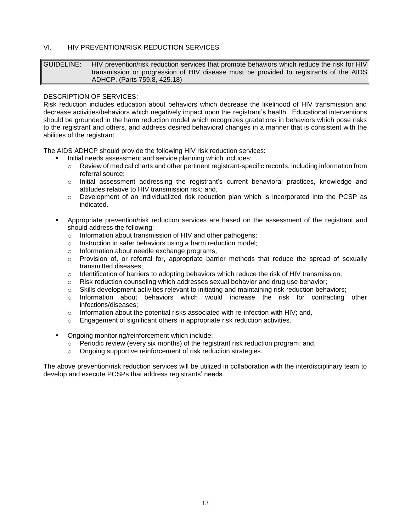# VI. HIV PREVENTION/RISK REDUCTION SERVICES

GUIDELINE: HIV prevention/risk reduction services that promote behaviors which reduce the risk for HIV transmission or progression of HIV disease must be provided to registrants of the AIDS ADHCP. (Parts 759.8, 425.18)

# DESCRIPTION OF SERVICES:

Risk reduction includes education about behaviors which decrease the likelihood of HIV transmission and decrease activities/behaviors which negatively impact upon the registrant's health. Educational interventions should be grounded in the harm reduction model which recognizes gradations in behaviors which pose risks to the registrant and others, and address desired behavioral changes in a manner that is consistent with the abilities of the registrant.

The AIDS ADHCP should provide the following HIV risk reduction services:

- Initial needs assessment and service planning which includes:
	- o Review of medical charts and other pertinent registrant-specific records, including information from referral source;
	- $\circ$  Initial assessment addressing the registrant's current behavioral practices, knowledge and attitudes relative to HIV transmission risk; and,
	- $\circ$  Development of an individualized risk reduction plan which is incorporated into the PCSP as indicated.
- Appropriate prevention/risk reduction services are based on the assessment of the registrant and should address the following:
	- o Information about transmission of HIV and other pathogens;
	- o Instruction in safer behaviors using a harm reduction model;
	- o Information about needle exchange programs;
	- $\circ$  Provision of, or referral for, appropriate barrier methods that reduce the spread of sexually transmitted diseases;
	- $\circ$  Identification of barriers to adopting behaviors which reduce the risk of HIV transmission;
	- $\circ$  Risk reduction counseling which addresses sexual behavior and drug use behavior;
	- $\circ$  Skills development activities relevant to initiating and maintaining risk reduction behaviors;
	- $\circ$  Information about behaviors which would increase the risk for contracting other infections/diseases;
	- $\circ$  Information about the potential risks associated with re-infection with HIV; and,
	- o Engagement of significant others in appropriate risk reduction activities.
- Ongoing monitoring/reinforcement which include:
	- $\circ$  Periodic review (every six months) of the registrant risk reduction program; and,
	- o Ongoing supportive reinforcement of risk reduction strategies.

The above prevention/risk reduction services will be utilized in collaboration with the interdisciplinary team to develop and execute PCSPs that address registrants' needs.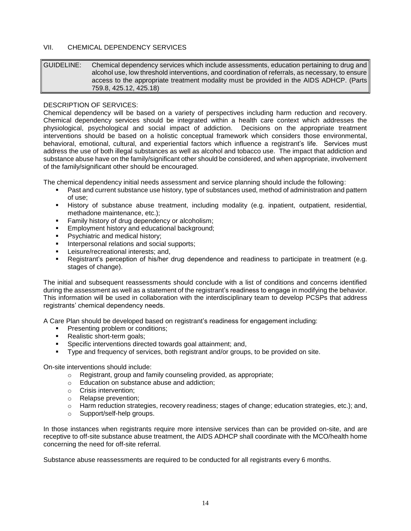# VII. CHEMICAL DEPENDENCY SERVICES

GUIDELINE: Chemical dependency services which include assessments, education pertaining to drug and alcohol use, low threshold interventions, and coordination of referrals, as necessary, to ensure access to the appropriate treatment modality must be provided in the AIDS ADHCP. (Parts 759.8, 425.12, 425.18)

# DESCRIPTION OF SERVICES:

Chemical dependency will be based on a variety of perspectives including harm reduction and recovery. Chemical dependency services should be integrated within a health care context which addresses the physiological, psychological and social impact of addiction. Decisions on the appropriate treatment interventions should be based on a holistic conceptual framework which considers those environmental, behavioral, emotional, cultural, and experiential factors which influence a registrant's life. Services must address the use of both illegal substances as well as alcohol and tobacco use. The impact that addiction and substance abuse have on the family/significant other should be considered, and when appropriate, involvement of the family/significant other should be encouraged.

The chemical dependency initial needs assessment and service planning should include the following:

- Past and current substance use history, type of substances used, method of administration and pattern of use;
- History of substance abuse treatment, including modality (e.g. inpatient, outpatient, residential, methadone maintenance, etc.);
- Family history of drug dependency or alcoholism;
- Employment history and educational background;
- Psychiatric and medical history;
- Interpersonal relations and social supports;
- Leisure/recreational interests; and,
- Registrant's perception of his/her drug dependence and readiness to participate in treatment (e.g. stages of change).

The initial and subsequent reassessments should conclude with a list of conditions and concerns identified during the assessment as well as a statement of the registrant's readiness to engage in modifying the behavior. This information will be used in collaboration with the interdisciplinary team to develop PCSPs that address registrants' chemical dependency needs.

A Care Plan should be developed based on registrant's readiness for engagement including:

- **•** Presenting problem or conditions;
- Realistic short-term goals;
- Specific interventions directed towards goal attainment; and,
- Type and frequency of services, both registrant and/or groups, to be provided on site.

On-site interventions should include:

- o Registrant, group and family counseling provided, as appropriate;
- o Education on substance abuse and addiction;
- o Crisis intervention;
- o Relapse prevention;
- o Harm reduction strategies, recovery readiness; stages of change; education strategies, etc.); and,
- o Support/self-help groups.

In those instances when registrants require more intensive services than can be provided on-site, and are receptive to off-site substance abuse treatment, the AIDS ADHCP shall coordinate with the MCO/health home concerning the need for off-site referral.

Substance abuse reassessments are required to be conducted for all registrants every 6 months.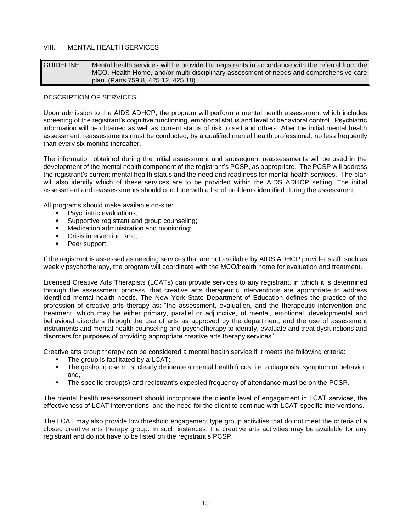# VIII. MENTAL HEALTH SERVICES

| GUIDELINE: | Mental health services will be provided to registrants in accordance with the referral from the |
|------------|-------------------------------------------------------------------------------------------------|
|            | MCO, Health Home, and/or multi-disciplinary assessment of needs and comprehensive care          |
|            | plan. (Parts 759.8, 425.12, 425.18)                                                             |

# DESCRIPTION OF SERVICES:

Upon admission to the AIDS ADHCP, the program will perform a mental health assessment which includes screening of the registrant's cognitive functioning, emotional status and level of behavioral control. Psychiatric information will be obtained as well as current status of risk to self and others. After the initial mental health assessment, reassessments must be conducted, by a qualified mental health professional, no less frequently than every six months thereafter.

The information obtained during the initial assessment and subsequent reassessments will be used in the development of the mental health component of the registrant's PCSP, as appropriate. The PCSP will address the registrant's current mental health status and the need and readiness for mental health services. The plan will also identify which of these services are to be provided within the AIDS ADHCP setting. The initial assessment and reassessments should conclude with a list of problems identified during the assessment.

All programs should make available on-site:

- Psychiatric evaluations;
- **EXECUTE:** Supportive registrant and group counseling;
- Medication administration and monitoring;
- Crisis intervention; and,
- Peer support.

If the registrant is assessed as needing services that are not available by AIDS ADHCP provider staff, such as weekly psychotherapy, the program will coordinate with the MCO/health home for evaluation and treatment.

Licensed Creative Arts Therapists (LCATs) can provide services to any registrant, in which it is determined through the assessment process, that creative arts therapeutic interventions are appropriate to address identified mental health needs. The New York State Department of Education defines the practice of the profession of creative arts therapy as: "the assessment, evaluation, and the therapeutic intervention and treatment, which may be either primary, parallel or adjunctive, of mental, emotional, developmental and behavioral disorders through the use of arts as approved by the department; and the use of assessment instruments and mental health counseling and psychotherapy to identify, evaluate and treat dysfunctions and disorders for purposes of providing appropriate creative arts therapy services".

Creative arts group therapy can be considered a mental health service if it meets the following criteria:

- The group is facilitated by a LCAT;
- The goal/purpose must clearly delineate a mental health focus; i.e. a diagnosis, symptom or behavior; and,
- **•** The specific group(s) and registrant's expected frequency of attendance must be on the PCSP.

The mental health reassessment should incorporate the client's level of engagement in LCAT services, the effectiveness of LCAT interventions, and the need for the client to continue with LCAT-specific interventions.

The LCAT may also provide low threshold engagement type group activities that do not meet the criteria of a closed creative arts therapy group. In such instances, the creative arts activities may be available for any registrant and do not have to be listed on the registrant's PCSP.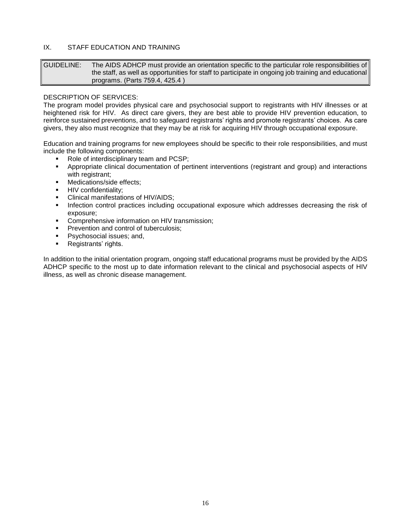# IX. STAFF EDUCATION AND TRAINING

GUIDELINE: The AIDS ADHCP must provide an orientation specific to the particular role responsibilities of the staff, as well as opportunities for staff to participate in ongoing job training and educational programs. (Parts 759.4, 425.4 )

# DESCRIPTION OF SERVICES:

The program model provides physical care and psychosocial support to registrants with HIV illnesses or at heightened risk for HIV. As direct care givers, they are best able to provide HIV prevention education, to reinforce sustained preventions, and to safeguard registrants' rights and promote registrants' choices. As care givers, they also must recognize that they may be at risk for acquiring HIV through occupational exposure.

Education and training programs for new employees should be specific to their role responsibilities, and must include the following components:

- Role of interdisciplinary team and PCSP:
- Appropriate clinical documentation of pertinent interventions (registrant and group) and interactions with registrant;
- Medications/side effects:
- **HIV** confidentiality:
- Clinical manifestations of HIV/AIDS;
- **•** Infection control practices including occupational exposure which addresses decreasing the risk of exposure;
- Comprehensive information on HIV transmission;
- Prevention and control of tuberculosis:
- Psychosocial issues; and,
- Registrants' rights.

In addition to the initial orientation program, ongoing staff educational programs must be provided by the AIDS ADHCP specific to the most up to date information relevant to the clinical and psychosocial aspects of HIV illness, as well as chronic disease management.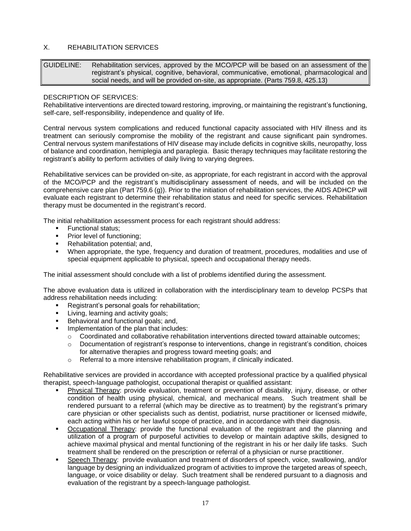# X. REHABILITATION SERVICES

GUIDELINE: Rehabilitation services, approved by the MCO/PCP will be based on an assessment of the registrant's physical, cognitive, behavioral, communicative, emotional, pharmacological and social needs, and will be provided on-site, as appropriate. (Parts 759.8, 425.13)

# DESCRIPTION OF SERVICES:

Rehabilitative interventions are directed toward restoring, improving, or maintaining the registrant's functioning, self-care, self-responsibility, independence and quality of life.

Central nervous system complications and reduced functional capacity associated with HIV illness and its treatment can seriously compromise the mobility of the registrant and cause significant pain syndromes. Central nervous system manifestations of HIV disease may include deficits in cognitive skills, neuropathy, loss of balance and coordination, hemiplegia and paraplegia. Basic therapy techniques may facilitate restoring the registrant's ability to perform activities of daily living to varying degrees.

Rehabilitative services can be provided on-site, as appropriate, for each registrant in accord with the approval of the MCO/PCP and the registrant's multidisciplinary assessment of needs, and will be included on the comprehensive care plan (Part 759.6 (g)). Prior to the initiation of rehabilitation services, the AIDS ADHCP will evaluate each registrant to determine their rehabilitation status and need for specific services. Rehabilitation therapy must be documented in the registrant's record.

The initial rehabilitation assessment process for each registrant should address:

- **Functional status:**
- Prior level of functioning;
- Rehabilitation potential; and,
- When appropriate, the type, frequency and duration of treatment, procedures, modalities and use of special equipment applicable to physical, speech and occupational therapy needs.

The initial assessment should conclude with a list of problems identified during the assessment.

The above evaluation data is utilized in collaboration with the interdisciplinary team to develop PCSPs that address rehabilitation needs including:

- Registrant's personal goals for rehabilitation;
- **■** Living, learning and activity goals;
- Behavioral and functional goals; and,
- Implementation of the plan that includes:
	- $\circ$  Coordinated and collaborative rehabilitation interventions directed toward attainable outcomes;
	- $\circ$  Documentation of registrant's response to interventions, change in registrant's condition, choices for alternative therapies and progress toward meeting goals; and
	- o Referral to a more intensive rehabilitation program, if clinically indicated.

Rehabilitative services are provided in accordance with accepted professional practice by a qualified physical therapist, speech-language pathologist, occupational therapist or qualified assistant:

- Physical Therapy: provide evaluation, treatment or prevention of disability, injury, disease, or other condition of health using physical, chemical, and mechanical means. Such treatment shall be rendered pursuant to a referral (which may be directive as to treatment) by the registrant's primary care physician or other specialists such as dentist, podiatrist, nurse practitioner or licensed midwife, each acting within his or her lawful scope of practice, and in accordance with their diagnosis.
- Occupational Therapy: provide the functional evaluation of the registrant and the planning and utilization of a program of purposeful activities to develop or maintain adaptive skills, designed to achieve maximal physical and mental functioning of the registrant in his or her daily life tasks. Such treatment shall be rendered on the prescription or referral of a physician or nurse practitioner.
- Speech Therapy: provide evaluation and treatment of disorders of speech, voice, swallowing, and/or language by designing an individualized program of activities to improve the targeted areas of speech, language, or voice disability or delay. Such treatment shall be rendered pursuant to a diagnosis and evaluation of the registrant by a speech-language pathologist.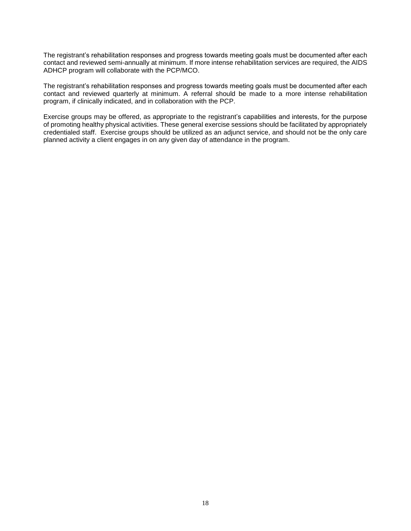The registrant's rehabilitation responses and progress towards meeting goals must be documented after each contact and reviewed semi-annually at minimum. If more intense rehabilitation services are required, the AIDS ADHCP program will collaborate with the PCP/MCO.

The registrant's rehabilitation responses and progress towards meeting goals must be documented after each contact and reviewed quarterly at minimum. A referral should be made to a more intense rehabilitation program, if clinically indicated, and in collaboration with the PCP.

Exercise groups may be offered, as appropriate to the registrant's capabilities and interests, for the purpose of promoting healthy physical activities. These general exercise sessions should be facilitated by appropriately credentialed staff. Exercise groups should be utilized as an adjunct service, and should not be the only care planned activity a client engages in on any given day of attendance in the program.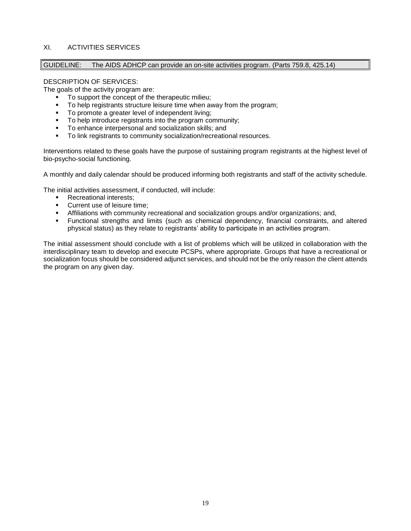# XI. ACTIVITIES SERVICES

# GUIDELINE: The AIDS ADHCP can provide an on-site activities program. (Parts 759.8, 425.14)

# DESCRIPTION OF SERVICES:

The goals of the activity program are:

- To support the concept of the therapeutic milieu:
- To help registrants structure leisure time when away from the program;
- To promote a greater level of independent living;
- To help introduce registrants into the program community;
- To enhance interpersonal and socialization skills; and
- To link registrants to community socialization/recreational resources.

Interventions related to these goals have the purpose of sustaining program registrants at the highest level of bio-psycho-social functioning.

A monthly and daily calendar should be produced informing both registrants and staff of the activity schedule.

The initial activities assessment, if conducted, will include:

- Recreational interests;
- Current use of leisure time:
- **EXECT Affiliations with community recreational and socialization groups and/or organizations; and,**
- Functional strengths and limits (such as chemical dependency, financial constraints, and altered physical status) as they relate to registrants' ability to participate in an activities program.

The initial assessment should conclude with a list of problems which will be utilized in collaboration with the interdisciplinary team to develop and execute PCSPs, where appropriate. Groups that have a recreational or socialization focus should be considered adjunct services, and should not be the only reason the client attends the program on any given day.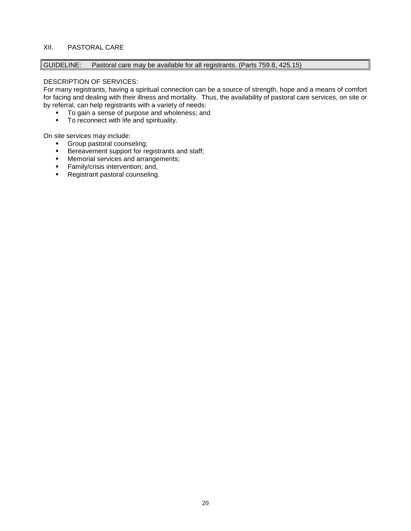# XII. PASTORAL CARE

GUIDELINE: Pastoral care may be available for all registrants. (Parts 759.8, 425.15)

# DESCRIPTION OF SERVICES:

For many registrants, having a spiritual connection can be a source of strength, hope and a means of comfort for facing and dealing with their illness and mortality. Thus, the availability of pastoral care services, on site or by referral, can help registrants with a variety of needs:

- To gain a sense of purpose and wholeness; and
- To reconnect with life and spirituality.

On site services may include:

- Group pastoral counseling;<br>■ Bereavement support for re
- Bereavement support for registrants and staff;
- Memorial services and arrangements;<br>■ Family/crisis intervention: and.
- Family/crisis intervention; and,
- Registrant pastoral counseling.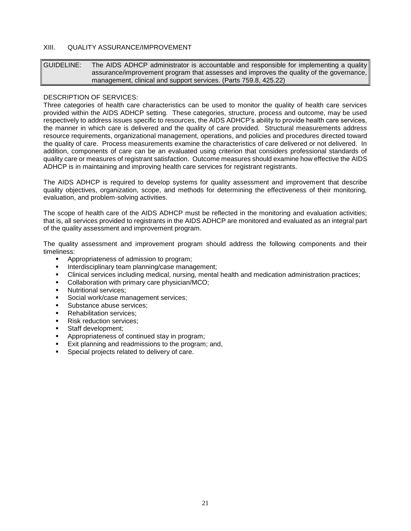# XIII. QUALITY ASSURANCE/IMPROVEMENT

GUIDELINE: The AIDS ADHCP administrator is accountable and responsible for implementing a quality assurance/improvement program that assesses and improves the quality of the governance, management, clinical and support services. (Parts 759.8, 425.22)

#### DESCRIPTION OF SERVICES:

Three categories of health care characteristics can be used to monitor the quality of health care services provided within the AIDS ADHCP setting. These categories, structure, process and outcome, may be used respectively to address issues specific to resources, the AIDS ADHCP's ability to provide health care services, the manner in which care is delivered and the quality of care provided. Structural measurements address resource requirements, organizational management, operations, and policies and procedures directed toward the quality of care. Process measurements examine the characteristics of care delivered or not delivered. In addition, components of care can be an evaluated using criterion that considers professional standards of quality care or measures of registrant satisfaction. Outcome measures should examine how effective the AIDS ADHCP is in maintaining and improving health care services for registrant registrants.

The AIDS ADHCP is required to develop systems for quality assessment and improvement that describe quality objectives, organization, scope, and methods for determining the effectiveness of their monitoring, evaluation, and problem-solving activities.

The scope of health care of the AIDS ADHCP must be reflected in the monitoring and evaluation activities; that is, all services provided to registrants in the AIDS ADHCP are monitored and evaluated as an integral part of the quality assessment and improvement program.

The quality assessment and improvement program should address the following components and their timeliness:

- Appropriateness of admission to program;
- Interdisciplinary team planning/case management;
- Clinical services including medical, nursing, mental health and medication administration practices;
- Collaboration with primary care physician/MCO;
- Nutritional services;
- Social work/case management services;
- Substance abuse services:
- Rehabilitation services;
- Risk reduction services:
- Staff development;
- Appropriateness of continued stay in program;
- Exit planning and readmissions to the program; and,
- Special projects related to delivery of care.